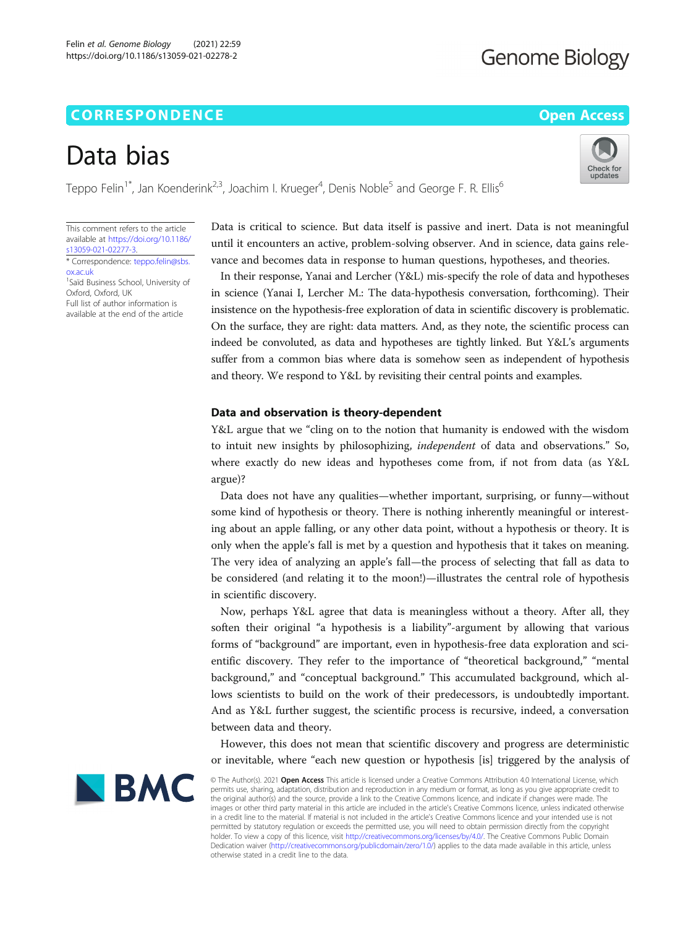# **CORRESPONDENCE CORRESPONDENCE** *CORRESPONDENCE*

# Data bias

Teppo Felin $^{\text{1*}}$ , Jan Koenderink $^{2,3}$ , Joachim I. Krueger $^4$ , Denis Noble $^5$  and George F. R. Ellis $^6$ 

This comment refers to the article available at [https://doi.org/10.1186/](https://doi.org/10.1186/s13059-021-02277-3) [s13059-021-02277-3](https://doi.org/10.1186/s13059-021-02277-3).

\* Correspondence: [teppo.felin@sbs.](mailto:teppo.felin@sbs.ox.ac.uk) [ox.ac.uk](mailto:teppo.felin@sbs.ox.ac.uk) <sup>1</sup>Saïd Business School, University of

Oxford, Oxford, UK Full list of author information is available at the end of the article Data is critical to science. But data itself is passive and inert. Data is not meaningful until it encounters an active, problem-solving observer. And in science, data gains relevance and becomes data in response to human questions, hypotheses, and theories.

In their response, Yanai and Lercher (Y&L) mis-specify the role of data and hypotheses in science (Yanai I, Lercher M.: The data-hypothesis conversation, forthcoming). Their insistence on the hypothesis-free exploration of data in scientific discovery is problematic. On the surface, they are right: data matters. And, as they note, the scientific process can indeed be convoluted, as data and hypotheses are tightly linked. But Y&L's arguments suffer from a common bias where data is somehow seen as independent of hypothesis and theory. We respond to Y&L by revisiting their central points and examples.

# Data and observation is theory-dependent

Y&L argue that we "cling on to the notion that humanity is endowed with the wisdom to intuit new insights by philosophizing, independent of data and observations." So, where exactly do new ideas and hypotheses come from, if not from data (as Y&L argue)?

Data does not have any qualities—whether important, surprising, or funny—without some kind of hypothesis or theory. There is nothing inherently meaningful or interesting about an apple falling, or any other data point, without a hypothesis or theory. It is only when the apple's fall is met by a question and hypothesis that it takes on meaning. The very idea of analyzing an apple's fall—the process of selecting that fall as data to be considered (and relating it to the moon!)—illustrates the central role of hypothesis in scientific discovery.

Now, perhaps Y&L agree that data is meaningless without a theory. After all, they soften their original "a hypothesis is a liability"-argument by allowing that various forms of "background" are important, even in hypothesis-free data exploration and scientific discovery. They refer to the importance of "theoretical background," "mental background," and "conceptual background." This accumulated background, which allows scientists to build on the work of their predecessors, is undoubtedly important. And as Y&L further suggest, the scientific process is recursive, indeed, a conversation between data and theory.

However, this does not mean that scientific discovery and progress are deterministic or inevitable, where "each new question or hypothesis [is] triggered by the analysis of



© The Author(s). 2021 Open Access This article is licensed under a Creative Commons Attribution 4.0 International License, which permits use, sharing, adaptation, distribution and reproduction in any medium or format, as long as you give appropriate credit to the original author(s) and the source, provide a link to the Creative Commons licence, and indicate if changes were made. The images or other third party material in this article are included in the article's Creative Commons licence, unless indicated otherwise in a credit line to the material. If material is not included in the article's Creative Commons licence and your intended use is not permitted by statutory regulation or exceeds the permitted use, you will need to obtain permission directly from the copyright<br>holder. To view a copy of this licence, visit [http://creativecommons.org/licenses/by/4.0/.](http://creativecommons.org/licenses/by/4.0/) The Dedication waiver [\(http://creativecommons.org/publicdomain/zero/1.0/](http://creativecommons.org/publicdomain/zero/1.0/)) applies to the data made available in this article, unless otherwise stated in a credit line to the data.



# **Genome Biology**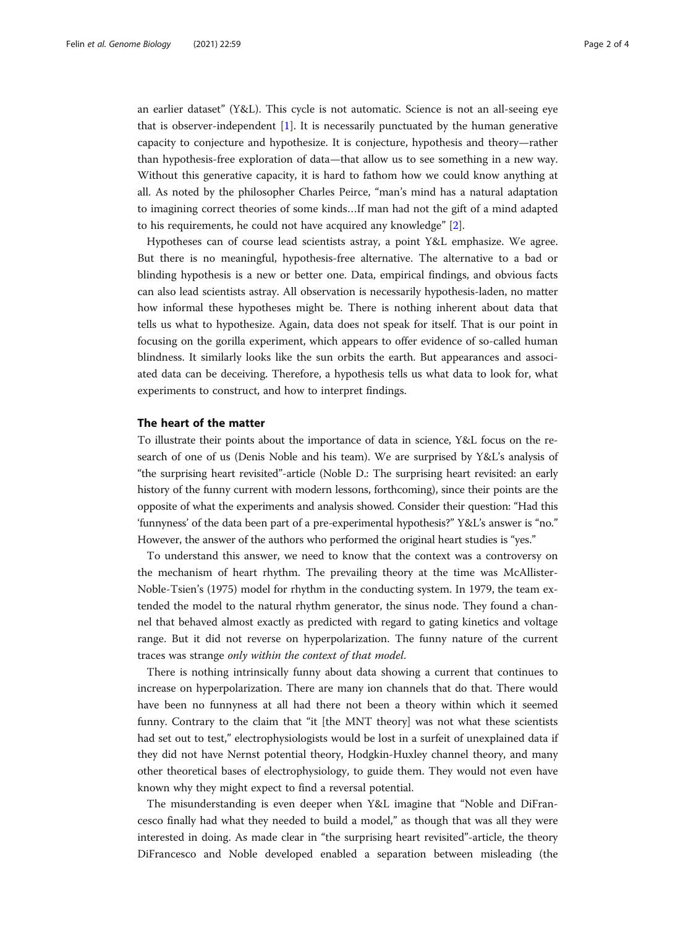an earlier dataset" (Y&L). This cycle is not automatic. Science is not an all-seeing eye that is observer-independent [\[1](#page-3-0)]. It is necessarily punctuated by the human generative capacity to conjecture and hypothesize. It is conjecture, hypothesis and theory—rather than hypothesis-free exploration of data—that allow us to see something in a new way. Without this generative capacity, it is hard to fathom how we could know anything at all. As noted by the philosopher Charles Peirce, "man's mind has a natural adaptation to imagining correct theories of some kinds…If man had not the gift of a mind adapted to his requirements, he could not have acquired any knowledge" [[2\]](#page-3-0).

Hypotheses can of course lead scientists astray, a point Y&L emphasize. We agree. But there is no meaningful, hypothesis-free alternative. The alternative to a bad or blinding hypothesis is a new or better one. Data, empirical findings, and obvious facts can also lead scientists astray. All observation is necessarily hypothesis-laden, no matter how informal these hypotheses might be. There is nothing inherent about data that tells us what to hypothesize. Again, data does not speak for itself. That is our point in focusing on the gorilla experiment, which appears to offer evidence of so-called human blindness. It similarly looks like the sun orbits the earth. But appearances and associated data can be deceiving. Therefore, a hypothesis tells us what data to look for, what experiments to construct, and how to interpret findings.

## The heart of the matter

To illustrate their points about the importance of data in science, Y&L focus on the research of one of us (Denis Noble and his team). We are surprised by Y&L's analysis of "the surprising heart revisited"-article (Noble D.: The surprising heart revisited: an early history of the funny current with modern lessons, forthcoming), since their points are the opposite of what the experiments and analysis showed. Consider their question: "Had this 'funnyness' of the data been part of a pre-experimental hypothesis?" Y&L's answer is "no." However, the answer of the authors who performed the original heart studies is "yes."

To understand this answer, we need to know that the context was a controversy on the mechanism of heart rhythm. The prevailing theory at the time was McAllister-Noble-Tsien's (1975) model for rhythm in the conducting system. In 1979, the team extended the model to the natural rhythm generator, the sinus node. They found a channel that behaved almost exactly as predicted with regard to gating kinetics and voltage range. But it did not reverse on hyperpolarization. The funny nature of the current traces was strange only within the context of that model.

There is nothing intrinsically funny about data showing a current that continues to increase on hyperpolarization. There are many ion channels that do that. There would have been no funnyness at all had there not been a theory within which it seemed funny. Contrary to the claim that "it [the MNT theory] was not what these scientists had set out to test," electrophysiologists would be lost in a surfeit of unexplained data if they did not have Nernst potential theory, Hodgkin-Huxley channel theory, and many other theoretical bases of electrophysiology, to guide them. They would not even have known why they might expect to find a reversal potential.

The misunderstanding is even deeper when Y&L imagine that "Noble and DiFrancesco finally had what they needed to build a model," as though that was all they were interested in doing. As made clear in "the surprising heart revisited"-article, the theory DiFrancesco and Noble developed enabled a separation between misleading (the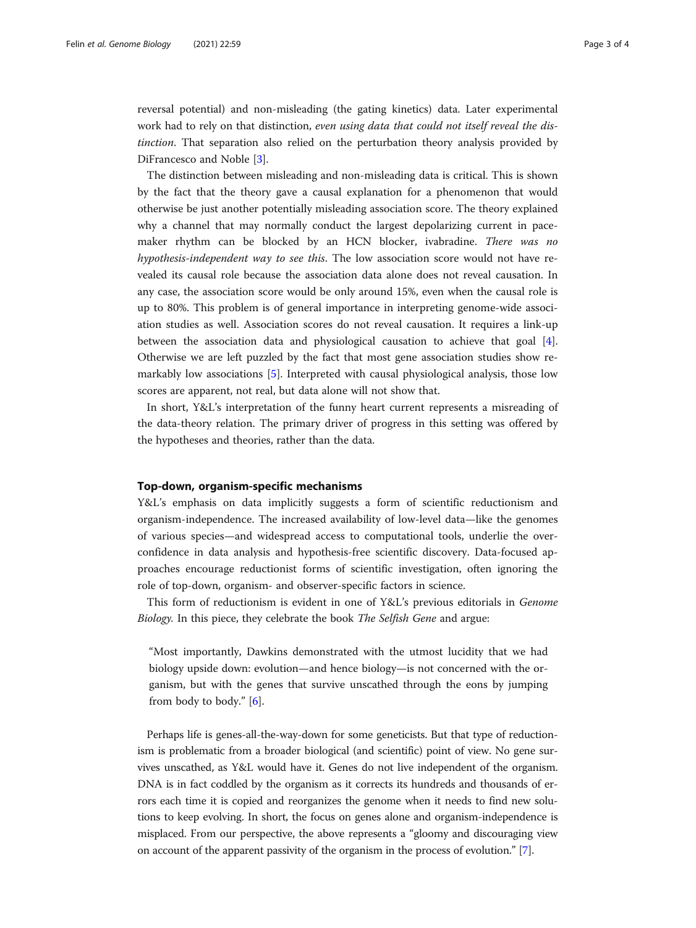reversal potential) and non-misleading (the gating kinetics) data. Later experimental work had to rely on that distinction, even using data that could not itself reveal the distinction. That separation also relied on the perturbation theory analysis provided by DiFrancesco and Noble [[3\]](#page-3-0).

The distinction between misleading and non-misleading data is critical. This is shown by the fact that the theory gave a causal explanation for a phenomenon that would otherwise be just another potentially misleading association score. The theory explained why a channel that may normally conduct the largest depolarizing current in pacemaker rhythm can be blocked by an HCN blocker, ivabradine. There was no hypothesis-independent way to see this. The low association score would not have revealed its causal role because the association data alone does not reveal causation. In any case, the association score would be only around 15%, even when the causal role is up to 80%. This problem is of general importance in interpreting genome-wide association studies as well. Association scores do not reveal causation. It requires a link-up between the association data and physiological causation to achieve that goal [\[4](#page-3-0)]. Otherwise we are left puzzled by the fact that most gene association studies show remarkably low associations [[5\]](#page-3-0). Interpreted with causal physiological analysis, those low scores are apparent, not real, but data alone will not show that.

In short, Y&L's interpretation of the funny heart current represents a misreading of the data-theory relation. The primary driver of progress in this setting was offered by the hypotheses and theories, rather than the data.

# Top-down, organism-specific mechanisms

Y&L's emphasis on data implicitly suggests a form of scientific reductionism and organism-independence. The increased availability of low-level data—like the genomes of various species—and widespread access to computational tools, underlie the overconfidence in data analysis and hypothesis-free scientific discovery. Data-focused approaches encourage reductionist forms of scientific investigation, often ignoring the role of top-down, organism- and observer-specific factors in science.

This form of reductionism is evident in one of Y&L's previous editorials in Genome Biology. In this piece, they celebrate the book The Selfish Gene and argue:

"Most importantly, Dawkins demonstrated with the utmost lucidity that we had biology upside down: evolution—and hence biology—is not concerned with the organism, but with the genes that survive unscathed through the eons by jumping from body to body."  $[6]$ .

Perhaps life is genes-all-the-way-down for some geneticists. But that type of reductionism is problematic from a broader biological (and scientific) point of view. No gene survives unscathed, as Y&L would have it. Genes do not live independent of the organism. DNA is in fact coddled by the organism as it corrects its hundreds and thousands of errors each time it is copied and reorganizes the genome when it needs to find new solutions to keep evolving. In short, the focus on genes alone and organism-independence is misplaced. From our perspective, the above represents a "gloomy and discouraging view on account of the apparent passivity of the organism in the process of evolution." [\[7](#page-3-0)].